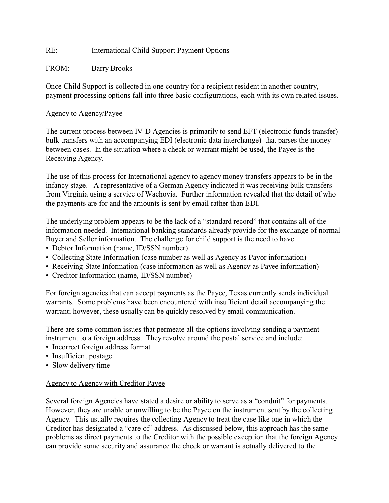## RE: International Child Support Payment Options

## FROM: Barry Brooks

Once Child Support is collected in one country for a recipient resident in another country, payment processing options fall into three basic configurations, each with its own related issues.

## Agency to Agency/Payee

The current process between IV-D Agencies is primarily to send EFT (electronic funds transfer) bulk transfers with an accompanying EDI (electronic data interchange) that parses the money between cases. In the situation where a check or warrant might be used, the Payee is the Receiving Agency.

The use of this process for International agency to agency money transfers appears to be in the infancy stage. A representative of a German Agency indicated it was receiving bulk transfers from Virginia using a service of Wachovia. Further information revealed that the detail of who the payments are for and the amounts is sent by email rather than EDI.

The underlying problem appears to be the lack of a "standard record" that contains all of the information needed. International banking standards already provide for the exchange of normal Buyer and Seller information. The challenge for child support is the need to have

- Debtor Information (name, ID/SSN number)
- Collecting State Information (case number as well as Agency as Payor information)
- Receiving State Information (case information as well as Agency as Payee information)
- Creditor Information (name, ID/SSN number)

For foreign agencies that can accept payments as the Payee, Texas currently sends individual warrants. Some problems have been encountered with insufficient detail accompanying the warrant; however, these usually can be quickly resolved by email communication.

There are some common issues that permeate all the options involving sending a payment instrument to a foreign address. They revolve around the postal service and include:

- Incorrect foreign address format
- Insufficient postage
- Slow delivery time

## Agency to Agency with Creditor Payee

Several foreign Agencies have stated a desire or ability to serve as a "conduit" for payments. However, they are unable or unwilling to be the Payee on the instrument sent by the collecting Agency. This usually requires the collecting Agency to treat the case like one in which the Creditor has designated a "care of" address. As discussed below, this approach has the same problems as direct payments to the Creditor with the possible exception that the foreign Agency can provide some security and assurance the check or warrant is actually delivered to the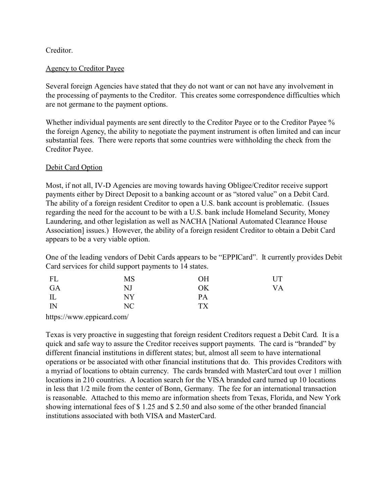## Creditor.

## Agency to Creditor Payee

Several foreign Agencies have stated that they do not want or can not have any involvement in the processing of payments to the Creditor. This creates some correspondence difficulties which are not germane to the payment options.

Whether individual payments are sent directly to the Creditor Payee or to the Creditor Payee % the foreign Agency, the ability to negotiate the payment instrument is often limited and can incur substantial fees. There were reports that some countries were withholding the check from the Creditor Payee.

## Debit Card Option

Most, if not all, IV-D Agencies are moving towards having Obligee/Creditor receive support payments either by Direct Deposit to a banking account or as "stored value" on a Debit Card. The ability of a foreign resident Creditor to open a U.S. bank account is problematic. (Issues regarding the need for the account to be with a U.S. bank include Homeland Security, Money Laundering, and other legislation as well as NACHA [National Automated Clearance House Association] issues.) However, the ability of a foreign resident Creditor to obtain a Debit Card appears to be a very viable option.

One of the leading vendors of Debit Cards appears to be "EPPICard". It currently provides Debit Card services for child support payments to 14 states.

| FL                              | MS | <b>OH</b> | UT |
|---------------------------------|----|-----------|----|
| GA                              | NJ | OK        | VA |
| $\mathop{\mathrm{IL}}\nolimits$ | NY | PA        |    |
| $\mathbb{N}$                    | NC | <b>TX</b> |    |
|                                 |    |           |    |

https://www.eppicard.com/

Texas is very proactive in suggesting that foreign resident Creditors request a Debit Card. It is a quick and safe way to assure the Creditor receives support payments. The card is "branded" by different financial institutions in different states; but, almost all seem to have international operations or be associated with other financial institutions that do. This provides Creditors with a myriad of locations to obtain currency. The cards branded with MasterCard tout over 1 million locations in 210 countries. A location search for the VISA branded card turned up 10 locations in less that 1/2 mile from the center of Bonn, Germany. The fee for an international transaction is reasonable. Attached to this memo are information sheets from Texas, Florida, and New York showing international fees of \$ 1.25 and \$ 2.50 and also some of the other branded financial institutions associated with both VISA and MasterCard.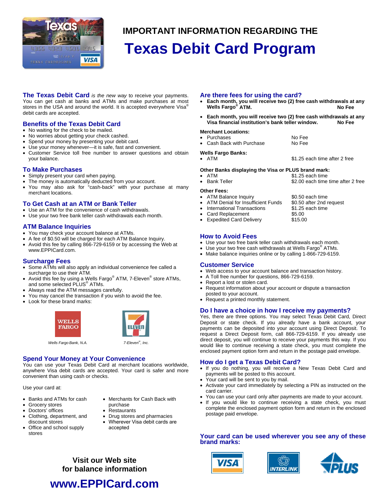

# **IMPORTANT INFORMATION REGARDING THE**

# **Texas Debit Card Program**

**The Texas Debit Card** *is the new way* to receive your payments. You can get cash at banks and ATMs and make purchases at most stores in the USA and around the world. It is accepted everywhere Visa<sup>®</sup> debit cards are accepted.

## **Benefits of the Texas Debit Card**

- No waiting for the check to be mailed.
- No worries about getting your check cashed.
- Spend your money by presenting your debit card.
- Use your money whenever-it is safe, fast and convenient.
- Customer Service toll free number to answer questions and obtain your balance.

#### **To Make Purchases**

- Simply present your card when paying.
- The money is automatically deducted from your account.
- You may also ask for "cash-back" with your purchase at many merchant locations.

## **To Get Cash at an ATM or Bank Teller**

- Use an ATM for the convenience of cash withdrawals.
- Use your two free bank teller cash withdrawals each month.

## **ATM Balance Inquiries**

- You may check your account balance at ATMs.
- A fee of \$0.50 will be charged for each ATM Balance Inquiry.
- Avoid this fee by calling 866-729-6159 or by accessing the Web at www.EPPICard.com.

### **Surcharge Fees**

- Some ATMs will also apply an individual convenience fee called a surcharge to use their ATM.
- Avoid this fee by using a Wells Fargo® ATM, 7-Eleven® store ATMs, and some selected PLUS® ATMs.
- Always read the ATM messages carefully.
- You may cancel the transaction if you wish to avoid the fee.
- Look for these brand marks:



## **Spend Your Money at Your Convenience**

You can use your Texas Debit Card at merchant locations worldwide, anywhere Visa debit cards are accepted. Your card is safer and more convenient than using cash or checks.

Use your card at:

- Banks and ATMs for cash Merchants for Cash Back with
- Grocery stores **purchase**
- 
- 
- Office and school supply accepted stores
- 
- **Doctors' offices** Restaurants
	-

#### • Clothing, department, and • Drug stores and pharmacies discount stores • Wherever Visa debit cards are

**Visit our Web site for balance information** 

## **Are there fees for using the card?**

- **Each month, you will receive two (2) free cash withdrawals at any Wells Fargo® ATM. No Fee**
- **Each month, you will receive two (2) free cash withdrawals at any Visa financial institution's bank teller window. No Fee**

#### **Merchant Locations:**

- Purchases No Fee
- Cash Back with Purchase No Fee

#### **Wells Fargo Banks:**

• ATM  $\bullet$  S1.25 each time after 2 free

\$2.00 each time time after 2 free

#### **Other Banks displaying the Visa or PLUS brand mark:**

- ATM \$1.25 each time
- 
- **Other Fees:**
- ATM Balance Inquiry \$0.50 each time
- ATM Denial for Insufficient Funds \$0.50 after 2nd request
- International Transactions \$1.25 each time
- Card Replacement \$5.00
- **Expedited Card Delivery \$15.00**

## **How to Avoid Fees**

- Use your two free bank teller cash withdrawals each month.
- Use your two free cash withdrawals at Wells Fargo<sup>®</sup> ATMs.
- Make balance inquiries online or by calling 1-866-729-6159.

## **Customer Service**

- Web access to your account balance and transaction history.
- A Toll free number for questions, 866-729-6159.
- Report a lost or stolen card.
- Request information about your account or dispute a transaction
- posted to your account. • Request a printed monthly statement.

### **Do I have a choice in how I receive my payments?**

Yes, there are three options. You may select Texas Debit Card, Direct Deposit or state check. If you already have a bank account, your payments can be deposited into your account using Direct Deposit. To request a Direct Deposit form, call 866-729-6159. If you already use direct deposit, you will continue to receive your payments this way. If you would like to continue receiving a state check, you must complete the enclosed payment option form and return in the postage paid envelope.

### **How do I get a Texas Debit Card?**

- If you do nothing, you will receive a New Texas Debit Card and payments will be posted to this account.
- Your card will be sent to you by mail.
- Activate your card immediately by selecting a PIN as instructed on the card carrier.
- You can use your card only after payments are made to your account.
- If you would like to continue receiving a state check, you must complete the enclosed payment option form and return in the enclosed postage paid envelope.

**Your card can be used wherever you see any of these brand marks:** 







- 
-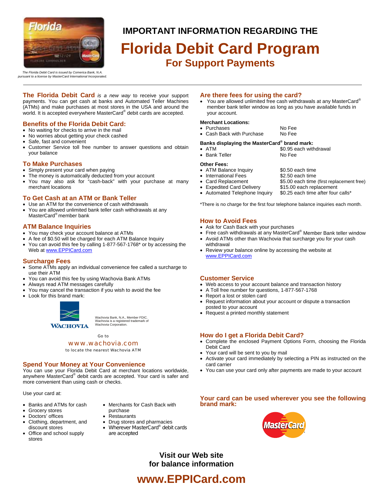

## **IMPORTANT INFORMATION REGARDING THE**

# **Florida Debit Card Program For Support Payments**

*The Florida Debit Card is issued by Comerica Bank, N.A. pursuant to a license by MasterCard International Incorporated.* 

**The Florida Debit Card** *is a new way* to receive your support payments. You can get cash at banks and Automated Teller Machines (ATMs) and make purchases at most stores in the USA and around the<br>world. It is accepted everywhere MasterCard® debit cards are accepted.

## **Benefits of the Florida Debit Card:**

- No waiting for checks to arrive in the mail
- No worries about getting your check cashed
- Safe, fast and convenient
- Customer Service toll free number to answer questions and obtain your balance

## **To Make Purchases**

- Simply present your card when paying
- The money is automatically deducted from your account
- You may also ask for "cash-back" with your purchase at many merchant locations

## **To Get Cash at an ATM or Bank Teller**

- Use an ATM for the convenience of cash withdrawals
- You are allowed unlimited bank teller cash withdrawals at any MasterCard® member bank

## **ATM Balance Inquiries**

- You may check your account balance at ATMs
- A fee of \$0.50 will be charged for each ATM Balance Inquiry
- You can avoid this fee by calling 1-877-567-1768\* or by accessing the Web at www.EPPICard.com

## **Surcharge Fees**

- Some ATMs apply an individual convenience fee called a surcharge to use their ATM
- You can avoid this fee by using Wachovia Bank ATMs
- Always read ATM messages carefully
- You may cancel the transaction if you wish to avoid the fee
- Look for this brand mark:



Wachovia Bank, N.A., Member FDIC. Wachovia is a registered trademark of Wachovia Corporation.

#### Go to

#### www.wachovia.com

to locate the nearest Wachovia ATM

## **Spend Your Money at Your Convenience**

You can use your Florida Debit Card at merchant locations worldwide, anywhere MasterCard® debit cards are accepted. Your card is safer and more convenient than using cash or checks.

Use your card at:

- 
- Grocery stores **purchase**
- Doctors' offices Restaurants
- Clothing, department, and Drug stores and pharmacies
- Office and school supply are accepted stores
- Banks and ATMs for cash Merchants for Cash Back with
	-
	-
	- discount stores Wherever MasterCard® debit cards
		-

## **Are there fees for using the card?**

• You are allowed unlimited free cash withdrawals at any MasterCard® member bank teller window as long as you have available funds in your account.

#### **Merchant Locations:**

- Purchases No Fee
	- Cash Back with Purchase No Fee

### **Banks displaying the MasterCard® brand mark:**

• ATM  $\bullet$  S0.95 each withdrawal • Bank Teller No Fee

- **Other Fees:**
- ATM Balance Inquiry \$0.50 each time
- 
- -
- Expedited Card Delivery \$15.00 each replacement
- Automated Telephone Inquiry \$0.25 each time after four calls\*

\*There is no charge for the first four telephone balance inquiries each month.

### **How to Avoid Fees**

- Ask for Cash Back with your purchases
- Free cash withdrawals at any MasterCard® Member Bank teller window
- Avoid ATMs other than Wachovia that surcharge you for your cash withdrawal
- Review your balance online by accessing the website at www.EPPICard.com

## **Customer Service**

- Web access to your account balance and transaction history
- A Toll free number for questions, 1-877-567-1768
- Report a lost or stolen card
- Request information about your account or dispute a transaction posted to your account
- Request a printed monthly statement

## **How do I get a Florida Debit Card?**

- Complete the enclosed Payment Options Form, choosing the Florida Debit Card
- Your card will be sent to you by mail
- Activate your card immediately by selecting a PIN as instructed on the card carrier
- You can use your card only after payments are made to your account

### **Your card can be used wherever you see the following brand mark:**



## **Visit our Web site for balance information**

# **www.EPPICard.com**

- -
- International Fees \$2.50 each time<br>• Card Replacement \$5.00 each time
	- \$5.00 each time (first replacement free)
	-
	-